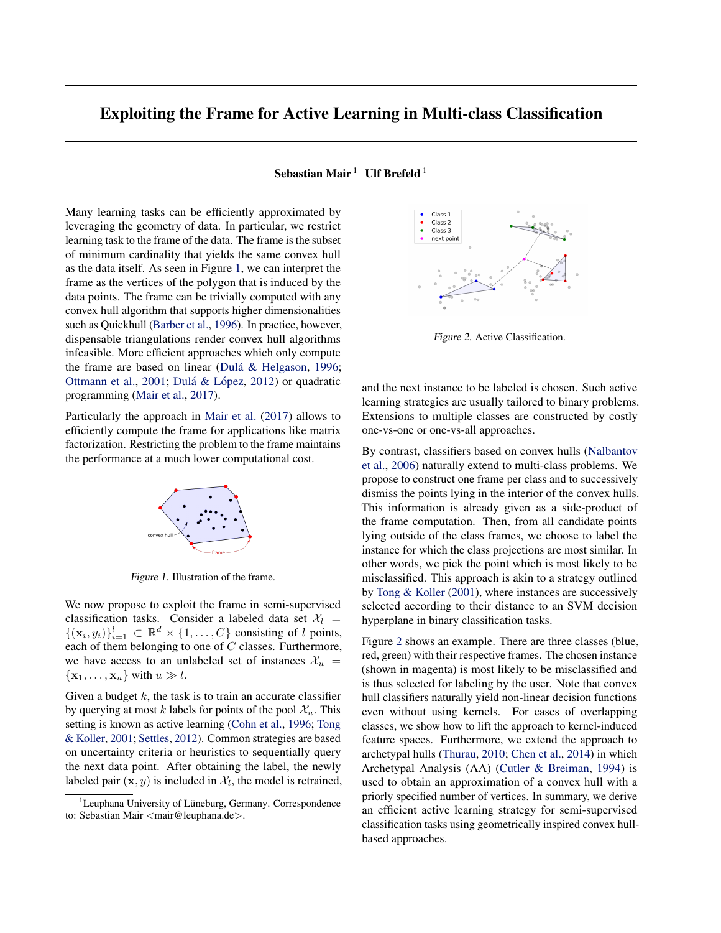## Exploiting the Frame for Active Learning in Multi-class Classification

Sebastian Mair<sup>1</sup> Ulf Brefeld<sup>1</sup>

Many learning tasks can be efficiently approximated by leveraging the geometry of data. In particular, we restrict learning task to the frame of the data. The frame is the subset of minimum cardinality that yields the same convex hull as the data itself. As seen in Figure 1, we can interpret the frame as the vertices of the polygon that is induced by the data points. The frame can be trivially computed with any convex hull algorithm that supports higher dimensionalities such as Quickhull [\(Barber et al.,](#page-1-0) [1996\)](#page-1-0). In practice, however, dispensable triangulations render convex hull algorithms infeasible. More efficient approaches which only compute the frame are based on linear (Dulá & Helgason, [1996;](#page-1-0) [Ottmann et al.,](#page-1-0) [2001;](#page-1-0) Dulá & López, [2012\)](#page-1-0) or quadratic programming [\(Mair et al.,](#page-1-0) [2017\)](#page-1-0).

Particularly the approach in [Mair et al.](#page-1-0) [\(2017\)](#page-1-0) allows to efficiently compute the frame for applications like matrix factorization. Restricting the problem to the frame maintains the performance at a much lower computational cost.



Figure 1. Illustration of the frame.

We now propose to exploit the frame in semi-supervised classification tasks. Consider a labeled data set  $\mathcal{X}_l$  =  $\{(\mathbf{x}_i, y_i)\}_{i=1}^l \subset \mathbb{R}^d \times \{1, \ldots, C\}$  consisting of l points, each of them belonging to one of  $C$  classes. Furthermore, we have access to an unlabeled set of instances  $\mathcal{X}_u$  =  $\{x_1, \ldots, x_u\}$  with  $u \gg l$ .

Given a budget  $k$ , the task is to train an accurate classifier by querying at most k labels for points of the pool  $\mathcal{X}_u$ . This setting is known as active learning [\(Cohn et al.,](#page-1-0) [1996;](#page-1-0) [Tong](#page-1-0) [& Koller,](#page-1-0) [2001;](#page-1-0) [Settles,](#page-1-0) [2012\)](#page-1-0). Common strategies are based on uncertainty criteria or heuristics to sequentially query the next data point. After obtaining the label, the newly labeled pair  $(x, y)$  is included in  $\mathcal{X}_l$ , the model is retrained,



Figure 2. Active Classification.

and the next instance to be labeled is chosen. Such active learning strategies are usually tailored to binary problems. Extensions to multiple classes are constructed by costly one-vs-one or one-vs-all approaches.

By contrast, classifiers based on convex hulls [\(Nalbantov](#page-1-0) [et al.,](#page-1-0) [2006\)](#page-1-0) naturally extend to multi-class problems. We propose to construct one frame per class and to successively dismiss the points lying in the interior of the convex hulls. This information is already given as a side-product of the frame computation. Then, from all candidate points lying outside of the class frames, we choose to label the instance for which the class projections are most similar. In other words, we pick the point which is most likely to be misclassified. This approach is akin to a strategy outlined by [Tong & Koller](#page-1-0) [\(2001\)](#page-1-0), where instances are successively selected according to their distance to an SVM decision hyperplane in binary classification tasks.

Figure 2 shows an example. There are three classes (blue, red, green) with their respective frames. The chosen instance (shown in magenta) is most likely to be misclassified and is thus selected for labeling by the user. Note that convex hull classifiers naturally yield non-linear decision functions even without using kernels. For cases of overlapping classes, we show how to lift the approach to kernel-induced feature spaces. Furthermore, we extend the approach to archetypal hulls [\(Thurau,](#page-1-0) [2010;](#page-1-0) [Chen et al.,](#page-1-0) [2014\)](#page-1-0) in which Archetypal Analysis (AA) [\(Cutler & Breiman,](#page-1-0) [1994\)](#page-1-0) is used to obtain an approximation of a convex hull with a priorly specified number of vertices. In summary, we derive an efficient active learning strategy for semi-supervised classification tasks using geometrically inspired convex hullbased approaches.

Leuphana University of Lüneburg, Germany. Correspondence to: Sebastian Mair <mair@leuphana.de>.